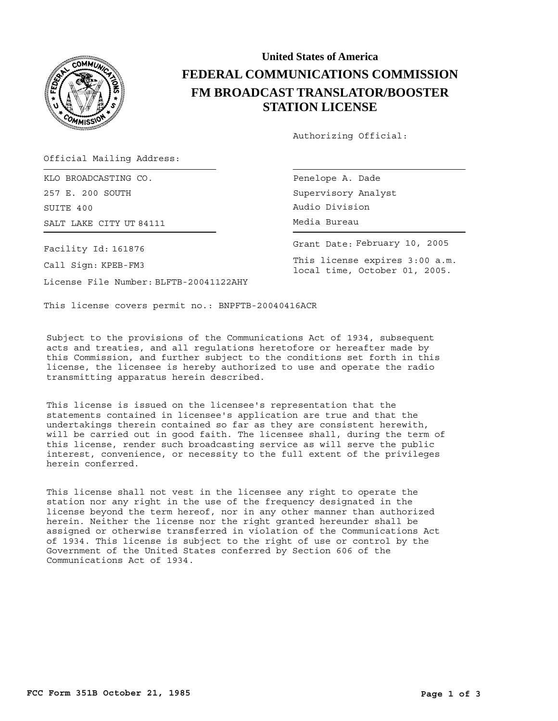

## **United States of America FEDERAL COMMUNICATIONS COMMISSION FM BROADCAST TRANSLATOR/BOOSTER STATION LICENSE**

Authorizing Official:

Official Mailing Address:

SALT LAKE CITY UT 84111 **Example 18 and 18 and 18 and 18 and 18 and 18 and 18 and 18 and 18 and 18 and 18 and 18** KLO BROADCASTING CO. 257 E. 200 SOUTH SUITE 400

Facility Id: 161876

Call Sign: KPEB-FM3

License File Number: BLFTB-20041122AHY

Penelope A. Dade Supervisory Analyst Audio Division

Grant Date: February 10, 2005

This license expires 3:00 a.m. local time, October 01, 2005.

This license covers permit no.: BNPFTB-20040416ACR

Subject to the provisions of the Communications Act of 1934, subsequent acts and treaties, and all regulations heretofore or hereafter made by this Commission, and further subject to the conditions set forth in this license, the licensee is hereby authorized to use and operate the radio transmitting apparatus herein described.

This license is issued on the licensee's representation that the statements contained in licensee's application are true and that the undertakings therein contained so far as they are consistent herewith, will be carried out in good faith. The licensee shall, during the term of this license, render such broadcasting service as will serve the public interest, convenience, or necessity to the full extent of the privileges herein conferred.

This license shall not vest in the licensee any right to operate the station nor any right in the use of the frequency designated in the license beyond the term hereof, nor in any other manner than authorized herein. Neither the license nor the right granted hereunder shall be assigned or otherwise transferred in violation of the Communications Act of 1934. This license is subject to the right of use or control by the Government of the United States conferred by Section 606 of the Communications Act of 1934.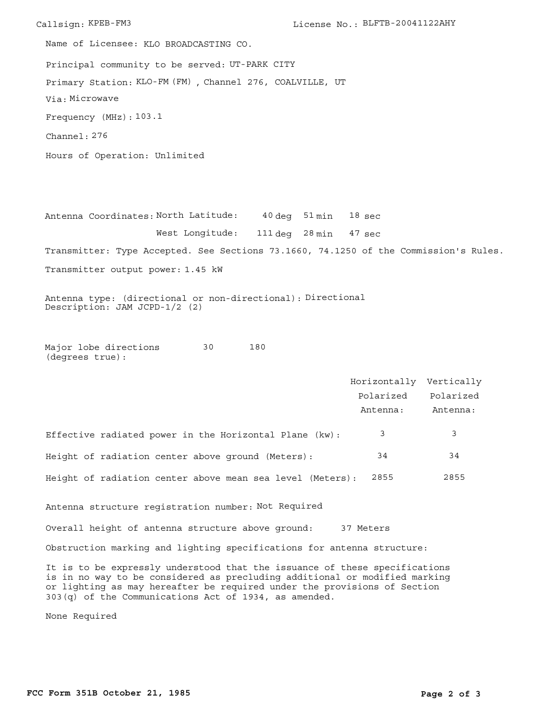Callsign: KPEB-FM3 License No.: BLFTB-20041122AHY Principal community to be served: UT-PARK CITY Hours of Operation: Unlimited Frequency (MHz): 103.1 Via: Microwave Primary Station: KLO-FM (FM), Channel 276, COALVILLE, UT Channel: 276 Name of Licensee: KLO BROADCASTING CO.

Antenna Coordinates: North Latitude: 40 deg 51 min West Longitude: 111 deg 28 min 47 sec Transmitter: Type Accepted. See Sections 73.1660, 74.1250 of the Commission's Rules. Transmitter output power: 1.45 kW 18 sec

Antenna type: (directional or non-directional): Directional Description: JAM JCPD-1/2 (2)

Major lobe directions 30 180 (degrees true):

|                                                                                                                                                                                                                                                                                                 | Horizontally Vertically |           |
|-------------------------------------------------------------------------------------------------------------------------------------------------------------------------------------------------------------------------------------------------------------------------------------------------|-------------------------|-----------|
|                                                                                                                                                                                                                                                                                                 | Polarized               | Polarized |
|                                                                                                                                                                                                                                                                                                 | Antenna:                | Antenna:  |
| Effective radiated power in the Horizontal Plane (kw):                                                                                                                                                                                                                                          | 3                       | 3         |
| Height of radiation center above ground (Meters):                                                                                                                                                                                                                                               | 34                      | 34        |
| Height of radiation center above mean sea level (Meters):                                                                                                                                                                                                                                       | 2855                    | 2855      |
| Antenna structure registration number: Not Required                                                                                                                                                                                                                                             |                         |           |
| Overall height of antenna structure above ground: 37 Meters                                                                                                                                                                                                                                     |                         |           |
| Obstruction marking and lighting specifications for antenna structure:                                                                                                                                                                                                                          |                         |           |
| It is to be expressly understood that the issuance of these specifications<br>is in no way to be considered as precluding additional or modified marking<br>or lighting as may hereafter be required under the provisions of Section<br>$303(q)$ of the Communications Act of 1934, as amended. |                         |           |

None Required